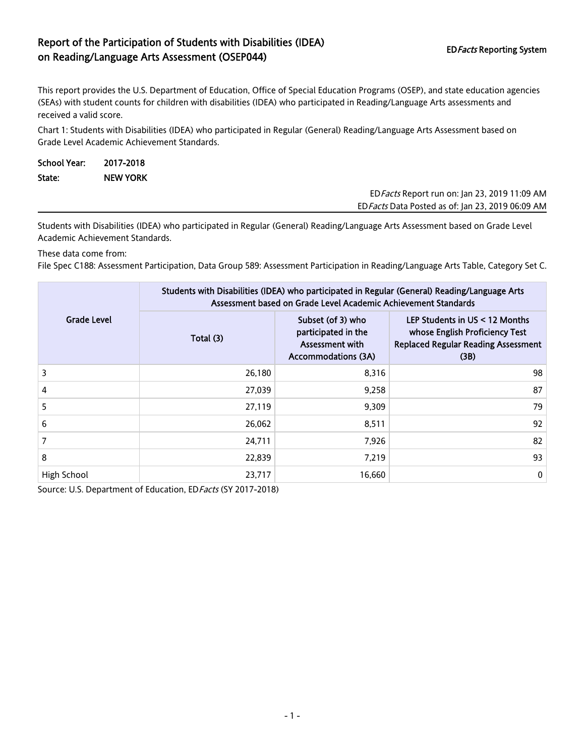## Report of the Participation of Students with Disabilities (IDEA) on Reading/Language Arts Assessment (OSEP044) EDFacts Reporting System

This report provides the U.S. Department of Education, Office of Special Education Programs (OSEP), and state education agencies (SEAs) with student counts for children with disabilities (IDEA) who participated in Reading/Language Arts assessments and received a valid score.

Chart 1: Students with Disabilities (IDEA) who participated in Regular (General) Reading/Language Arts Assessment based on Grade Level Academic Achievement Standards.

| <b>School Year:</b> | 2017-2018       |                                               |
|---------------------|-----------------|-----------------------------------------------|
| State:              | <b>NEW YORK</b> |                                               |
|                     |                 | ED Facts Report run on: Jan 23, 2019 11:09 AM |

EDFacts Data Posted as of: Jan 23, 2019 06:09 AM

Students with Disabilities (IDEA) who participated in Regular (General) Reading/Language Arts Assessment based on Grade Level Academic Achievement Standards.

These data come from:

File Spec C188: Assessment Participation, Data Group 589: Assessment Participation in Reading/Language Arts Table, Category Set C.

|                    | Students with Disabilities (IDEA) who participated in Regular (General) Reading/Language Arts<br>Assessment based on Grade Level Academic Achievement Standards |                                                                                           |                                                                                                                          |  |  |  |
|--------------------|-----------------------------------------------------------------------------------------------------------------------------------------------------------------|-------------------------------------------------------------------------------------------|--------------------------------------------------------------------------------------------------------------------------|--|--|--|
| <b>Grade Level</b> | Total (3)                                                                                                                                                       | Subset (of 3) who<br>participated in the<br>Assessment with<br><b>Accommodations (3A)</b> | LEP Students in $US < 12$ Months<br>whose English Proficiency Test<br><b>Replaced Regular Reading Assessment</b><br>(3B) |  |  |  |
| 3                  | 26,180                                                                                                                                                          | 8,316                                                                                     | 98                                                                                                                       |  |  |  |
| 4                  | 27,039                                                                                                                                                          | 9,258                                                                                     | 87                                                                                                                       |  |  |  |
| 5                  | 27,119                                                                                                                                                          | 9,309                                                                                     | 79                                                                                                                       |  |  |  |
| 6                  | 26,062                                                                                                                                                          | 8,511                                                                                     | 92                                                                                                                       |  |  |  |
| 7                  | 24,711                                                                                                                                                          | 7,926                                                                                     | 82                                                                                                                       |  |  |  |
| 8                  | 22,839                                                                                                                                                          | 7.219                                                                                     | 93                                                                                                                       |  |  |  |
| High School        | 23,717                                                                                                                                                          | 16,660                                                                                    | $\mathbf 0$                                                                                                              |  |  |  |

Source: U.S. Department of Education, ED Facts (SY 2017-2018)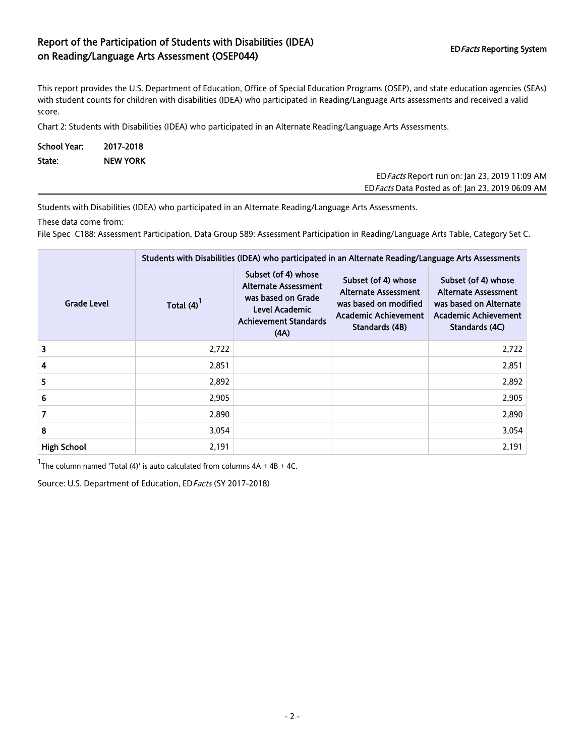## Report of the Participation of Students with Disabilities (IDEA) on Reading/Language Arts Assessment (OSEP044) EDFacts Reporting System EDFacts Reporting System

This report provides the U.S. Department of Education, Office of Special Education Programs (OSEP), and state education agencies (SEAs) with student counts for children with disabilities (IDEA) who participated in Reading/Language Arts assessments and received a valid score.

Chart 2: Students with Disabilities (IDEA) who participated in an Alternate Reading/Language Arts Assessments.

| <b>School Year:</b> | 2017-2018       |
|---------------------|-----------------|
| State:              | <b>NEW YORK</b> |

EDFacts Report run on: Jan 23, 2019 11:09 AM EDFacts Data Posted as of: Jan 23, 2019 06:09 AM

Students with Disabilities (IDEA) who participated in an Alternate Reading/Language Arts Assessments.

These data come from:

File Spec C188: Assessment Participation, Data Group 589: Assessment Participation in Reading/Language Arts Table, Category Set C.

|                    | Students with Disabilities (IDEA) who participated in an Alternate Reading/Language Arts Assessments |                                                                                                                                    |                                                                                                                              |                                                                                                                               |  |  |
|--------------------|------------------------------------------------------------------------------------------------------|------------------------------------------------------------------------------------------------------------------------------------|------------------------------------------------------------------------------------------------------------------------------|-------------------------------------------------------------------------------------------------------------------------------|--|--|
| <b>Grade Level</b> | Total (4)                                                                                            | Subset (of 4) whose<br><b>Alternate Assessment</b><br>was based on Grade<br>Level Academic<br><b>Achievement Standards</b><br>(AA) | Subset (of 4) whose<br><b>Alternate Assessment</b><br>was based on modified<br><b>Academic Achievement</b><br>Standards (4B) | Subset (of 4) whose<br><b>Alternate Assessment</b><br>was based on Alternate<br><b>Academic Achievement</b><br>Standards (4C) |  |  |
| 3                  | 2,722                                                                                                |                                                                                                                                    |                                                                                                                              | 2,722                                                                                                                         |  |  |
| 4                  | 2,851                                                                                                |                                                                                                                                    |                                                                                                                              | 2,851                                                                                                                         |  |  |
| 5                  | 2,892                                                                                                |                                                                                                                                    |                                                                                                                              | 2,892                                                                                                                         |  |  |
| 6                  | 2,905                                                                                                |                                                                                                                                    |                                                                                                                              | 2,905                                                                                                                         |  |  |
| $\overline{7}$     | 2,890                                                                                                |                                                                                                                                    |                                                                                                                              | 2,890                                                                                                                         |  |  |
| 8                  | 3,054                                                                                                |                                                                                                                                    |                                                                                                                              | 3,054                                                                                                                         |  |  |
| <b>High School</b> | 2,191                                                                                                |                                                                                                                                    |                                                                                                                              | 2,191                                                                                                                         |  |  |

 $1$ The column named 'Total (4)' is auto calculated from columns  $4A + 4B + 4C$ .

Source: U.S. Department of Education, ED Facts (SY 2017-2018)